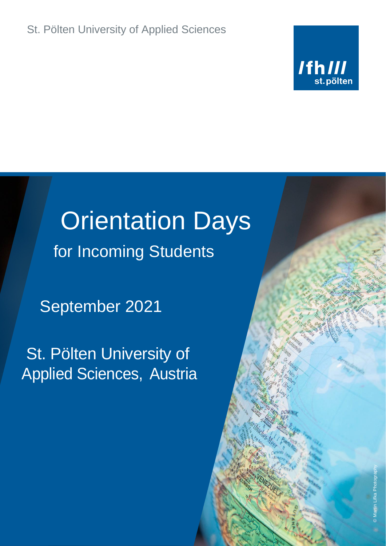

# Orientation Days for Incoming Students

September 2021

St. Pölten University of Applied Sciences, Austria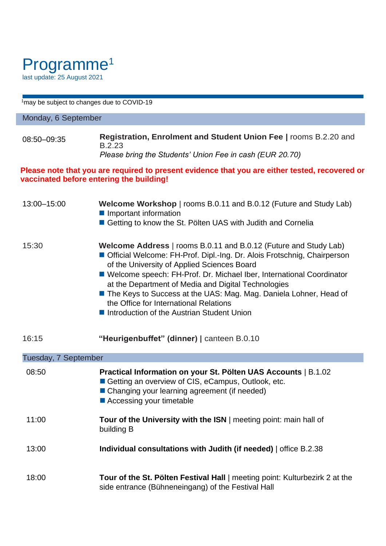## Programme<sup>1</sup> last update: 25 August 2021

<sup>1</sup>may be subject to changes due to COVID-19

### Monday, 6 September

| 08:50-09:35 | Registration, Enrolment and Student Union Fee   rooms B.2.20 and |
|-------------|------------------------------------------------------------------|
|             | B.2.23                                                           |
|             | Please bring the Students' Union Fee in cash (EUR 20.70)         |

#### **Please note that you are required to present evidence that you are either tested, recovered or vaccinated before entering the building!**

| 13:00-15:00          | Welcome Workshop   rooms B.0.11 and B.0.12 (Future and Study Lab)<br>Important information<br>Getting to know the St. Pölten UAS with Judith and Cornelia                                                                                                                                                                                                                                                                                                                                |
|----------------------|------------------------------------------------------------------------------------------------------------------------------------------------------------------------------------------------------------------------------------------------------------------------------------------------------------------------------------------------------------------------------------------------------------------------------------------------------------------------------------------|
| 15:30                | Welcome Address   rooms B.0.11 and B.0.12 (Future and Study Lab)<br>Official Welcome: FH-Prof. Dipl.-Ing. Dr. Alois Frotschnig, Chairperson<br>of the University of Applied Sciences Board<br>■ Welcome speech: FH-Prof. Dr. Michael Iber, International Coordinator<br>at the Department of Media and Digital Technologies<br>The Keys to Success at the UAS: Mag. Mag. Daniela Lohner, Head of<br>the Office for International Relations<br>Introduction of the Austrian Student Union |
| 16:15                | "Heurigenbuffet" (dinner)   canteen B.0.10                                                                                                                                                                                                                                                                                                                                                                                                                                               |
| Tuesday, 7 September |                                                                                                                                                                                                                                                                                                                                                                                                                                                                                          |
| 08:50                | Practical Information on your St. Pölten UAS Accounts   B.1.02<br>Getting an overview of CIS, eCampus, Outlook, etc.<br>■ Changing your learning agreement (if needed)<br>■ Accessing your timetable                                                                                                                                                                                                                                                                                     |
| 11:00                | Tour of the University with the ISN   meeting point: main hall of<br>building B                                                                                                                                                                                                                                                                                                                                                                                                          |
| 13:00                | Individual consultations with Judith (if needed)   office B.2.38                                                                                                                                                                                                                                                                                                                                                                                                                         |
| 18:00                | Tour of the St. Pölten Festival Hall   meeting point: Kulturbezirk 2 at the<br>side entrance (Bühneneingang) of the Festival Hall                                                                                                                                                                                                                                                                                                                                                        |